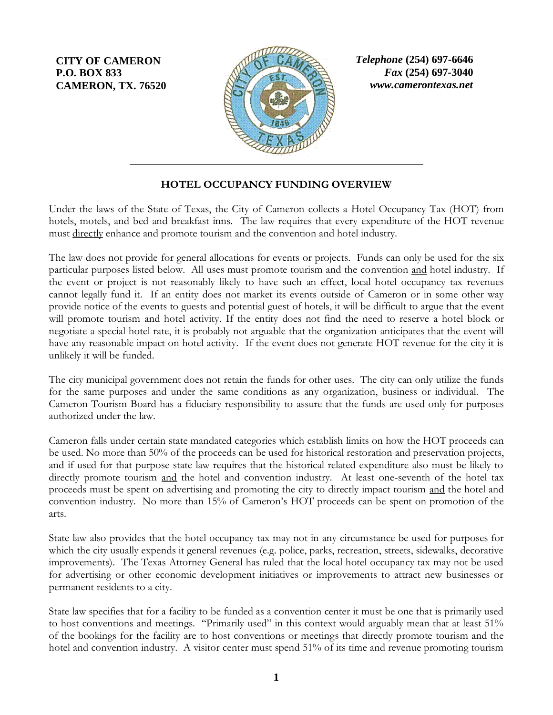**CITY OF CAMERON P.O. BOX 833 CAMERON, TX. 76520**



*Telephone* **(254) 697-6646** *Fax* **(254) 697-3040** *www.camerontexas.net*

### **HOTEL OCCUPANCY FUNDING OVERVIEW**

Under the laws of the State of Texas, the City of Cameron collects a Hotel Occupancy Tax (HOT) from hotels, motels, and bed and breakfast inns. The law requires that every expenditure of the HOT revenue must directly enhance and promote tourism and the convention and hotel industry.

The law does not provide for general allocations for events or projects. Funds can only be used for the six particular purposes listed below. All uses must promote tourism and the convention and hotel industry. If the event or project is not reasonably likely to have such an effect, local hotel occupancy tax revenues cannot legally fund it. If an entity does not market its events outside of Cameron or in some other way provide notice of the events to guests and potential guest of hotels, it will be difficult to argue that the event will promote tourism and hotel activity. If the entity does not find the need to reserve a hotel block or negotiate a special hotel rate, it is probably not arguable that the organization anticipates that the event will have any reasonable impact on hotel activity. If the event does not generate HOT revenue for the city it is unlikely it will be funded.

The city municipal government does not retain the funds for other uses. The city can only utilize the funds for the same purposes and under the same conditions as any organization, business or individual. The Cameron Tourism Board has a fiduciary responsibility to assure that the funds are used only for purposes authorized under the law.

Cameron falls under certain state mandated categories which establish limits on how the HOT proceeds can be used. No more than 50% of the proceeds can be used for historical restoration and preservation projects, and if used for that purpose state law requires that the historical related expenditure also must be likely to directly promote tourism and the hotel and convention industry. At least one-seventh of the hotel tax proceeds must be spent on advertising and promoting the city to directly impact tourism and the hotel and convention industry. No more than 15% of Cameron's HOT proceeds can be spent on promotion of the arts.

State law also provides that the hotel occupancy tax may not in any circumstance be used for purposes for which the city usually expends it general revenues (e.g. police, parks, recreation, streets, sidewalks, decorative improvements). The Texas Attorney General has ruled that the local hotel occupancy tax may not be used for advertising or other economic development initiatives or improvements to attract new businesses or permanent residents to a city.

State law specifies that for a facility to be funded as a convention center it must be one that is primarily used to host conventions and meetings. "Primarily used" in this context would arguably mean that at least 51% of the bookings for the facility are to host conventions or meetings that directly promote tourism and the hotel and convention industry. A visitor center must spend 51% of its time and revenue promoting tourism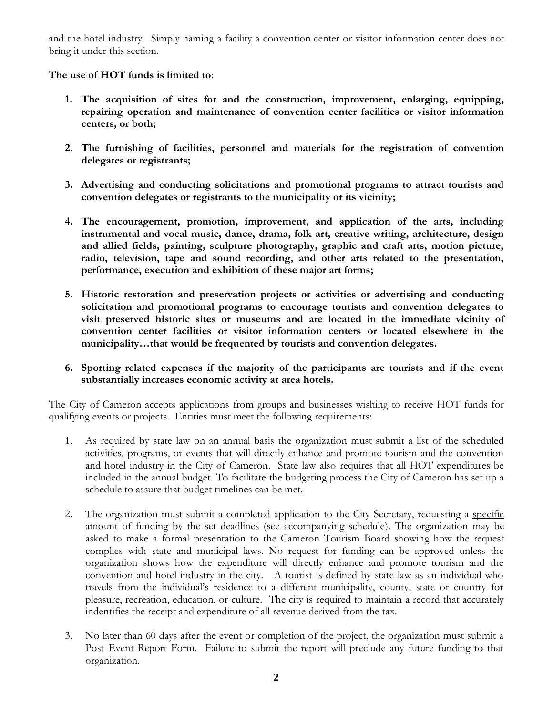and the hotel industry. Simply naming a facility a convention center or visitor information center does not bring it under this section.

#### **The use of HOT funds is limited to**:

- **1. The acquisition of sites for and the construction, improvement, enlarging, equipping, repairing operation and maintenance of convention center facilities or visitor information centers, or both;**
- **2. The furnishing of facilities, personnel and materials for the registration of convention delegates or registrants;**
- **3. Advertising and conducting solicitations and promotional programs to attract tourists and convention delegates or registrants to the municipality or its vicinity;**
- **4. The encouragement, promotion, improvement, and application of the arts, including instrumental and vocal music, dance, drama, folk art, creative writing, architecture, design and allied fields, painting, sculpture photography, graphic and craft arts, motion picture, radio, television, tape and sound recording, and other arts related to the presentation, performance, execution and exhibition of these major art forms;**
- **5. Historic restoration and preservation projects or activities or advertising and conducting solicitation and promotional programs to encourage tourists and convention delegates to visit preserved historic sites or museums and are located in the immediate vicinity of convention center facilities or visitor information centers or located elsewhere in the municipality…that would be frequented by tourists and convention delegates.**
- **6. Sporting related expenses if the majority of the participants are tourists and if the event substantially increases economic activity at area hotels.**

The City of Cameron accepts applications from groups and businesses wishing to receive HOT funds for qualifying events or projects. Entities must meet the following requirements:

- 1. As required by state law on an annual basis the organization must submit a list of the scheduled activities, programs, or events that will directly enhance and promote tourism and the convention and hotel industry in the City of Cameron. State law also requires that all HOT expenditures be included in the annual budget. To facilitate the budgeting process the City of Cameron has set up a schedule to assure that budget timelines can be met.
- 2. The organization must submit a completed application to the City Secretary, requesting a specific amount of funding by the set deadlines (see accompanying schedule). The organization may be asked to make a formal presentation to the Cameron Tourism Board showing how the request complies with state and municipal laws. No request for funding can be approved unless the organization shows how the expenditure will directly enhance and promote tourism and the convention and hotel industry in the city. A tourist is defined by state law as an individual who travels from the individual's residence to a different municipality, county, state or country for pleasure, recreation, education, or culture. The city is required to maintain a record that accurately indentifies the receipt and expenditure of all revenue derived from the tax.
- 3. No later than 60 days after the event or completion of the project, the organization must submit a Post Event Report Form. Failure to submit the report will preclude any future funding to that organization.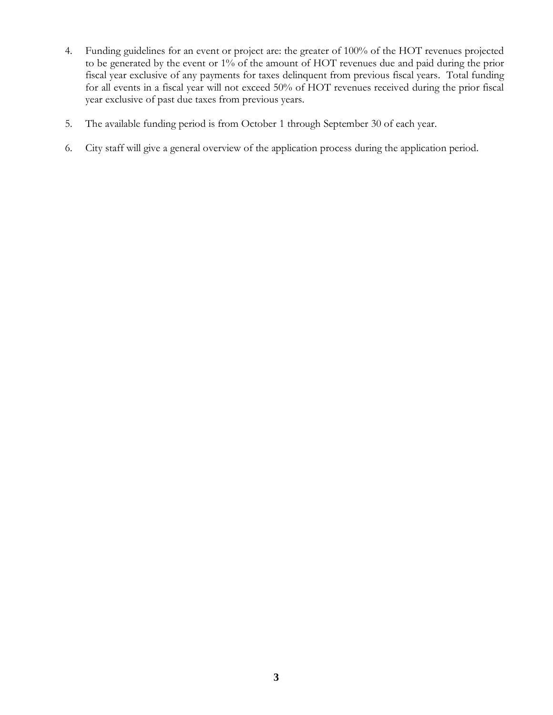- 4. Funding guidelines for an event or project are: the greater of 100% of the HOT revenues projected to be generated by the event or 1% of the amount of HOT revenues due and paid during the prior fiscal year exclusive of any payments for taxes delinquent from previous fiscal years. Total funding for all events in a fiscal year will not exceed 50% of HOT revenues received during the prior fiscal year exclusive of past due taxes from previous years.
- 5. The available funding period is from October 1 through September 30 of each year.
- 6. City staff will give a general overview of the application process during the application period.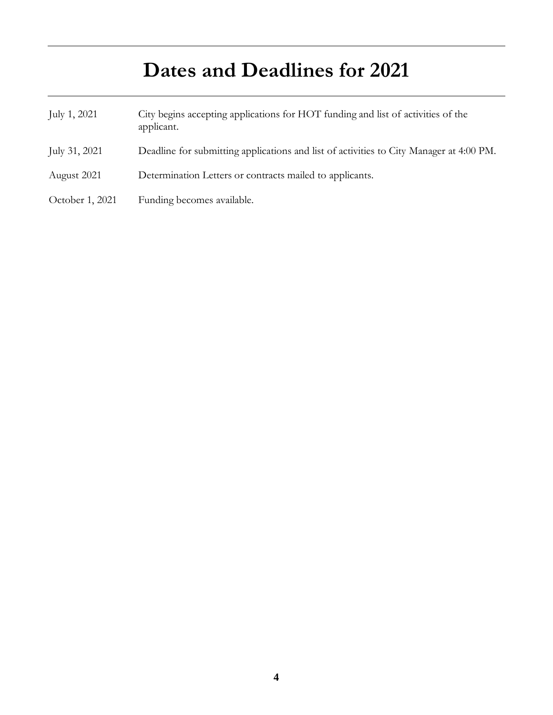# **Dates and Deadlines for 2021**

| July 1, 2021    | City begins accepting applications for HOT funding and list of activities of the<br>applicant. |
|-----------------|------------------------------------------------------------------------------------------------|
| July 31, 2021   | Deadline for submitting applications and list of activities to City Manager at 4:00 PM.        |
| August 2021     | Determination Letters or contracts mailed to applicants.                                       |
| October 1, 2021 | Funding becomes available.                                                                     |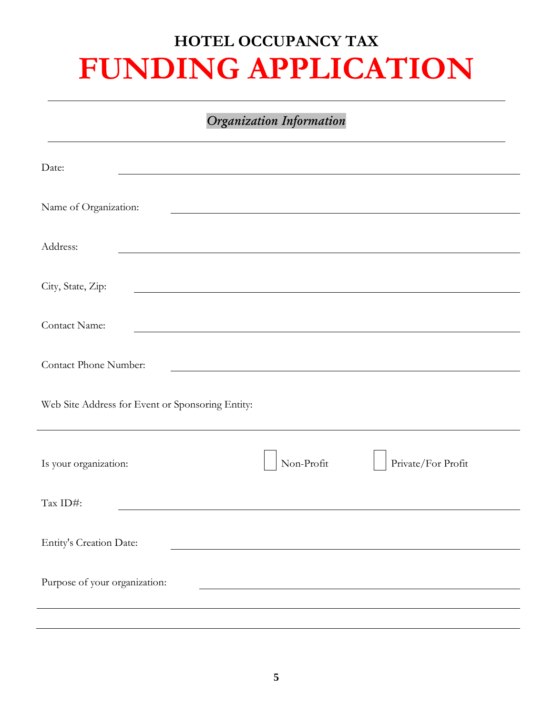# **HOTEL OCCUPANCY TAX FUNDING APPLICATION**

## *Organization Information*

| Date:                                                     |  |  |  |  |  |
|-----------------------------------------------------------|--|--|--|--|--|
| Name of Organization:                                     |  |  |  |  |  |
| Address:                                                  |  |  |  |  |  |
| City, State, Zip:                                         |  |  |  |  |  |
| Contact Name:                                             |  |  |  |  |  |
| Contact Phone Number:                                     |  |  |  |  |  |
| Web Site Address for Event or Sponsoring Entity:          |  |  |  |  |  |
| Non-Profit<br>Private/For Profit<br>Is your organization: |  |  |  |  |  |
| Tax ID#:                                                  |  |  |  |  |  |
| Entity's Creation Date:                                   |  |  |  |  |  |
| Purpose of your organization:                             |  |  |  |  |  |
|                                                           |  |  |  |  |  |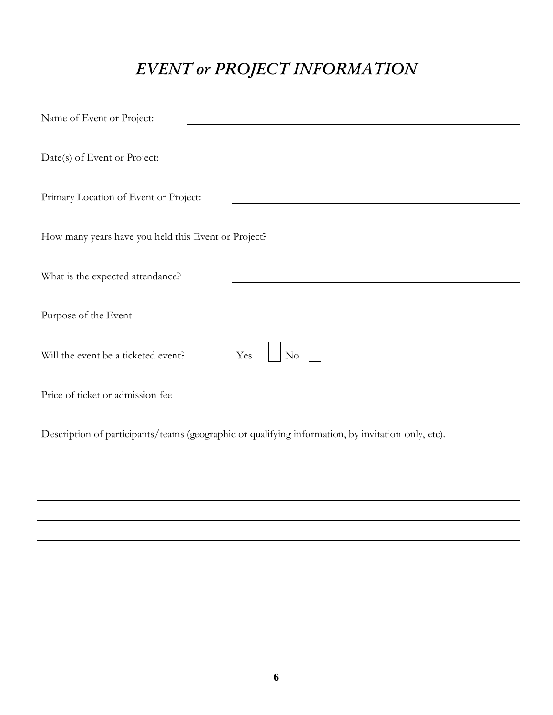# *EVENT or PROJECT INFORMATION*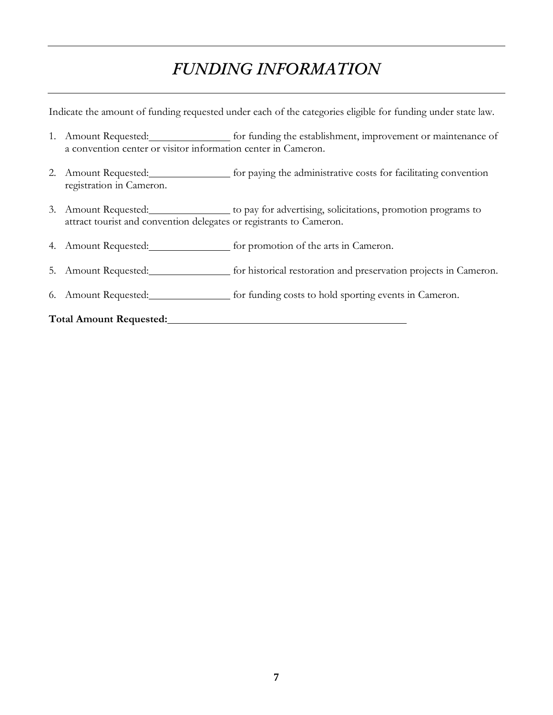## *FUNDING INFORMATION*

Indicate the amount of funding requested under each of the categories eligible for funding under state law.

- 1. Amount Requested: for funding the establishment, improvement or maintenance of a convention center or visitor information center in Cameron.
- 2. Amount Requested: [100] for paying the administrative costs for facilitating convention registration in Cameron.
- 3. Amount Requested: to pay for advertising, solicitations, promotion programs to attract tourist and convention delegates or registrants to Cameron.
- 4. Amount Requested: for promotion of the arts in Cameron.
- 5. Amount Requested: **for historical restoration and preservation projects in Cameron.**
- 6. Amount Requested: **for funding costs to hold sporting events in Cameron.**

#### **Total Amount Requested:**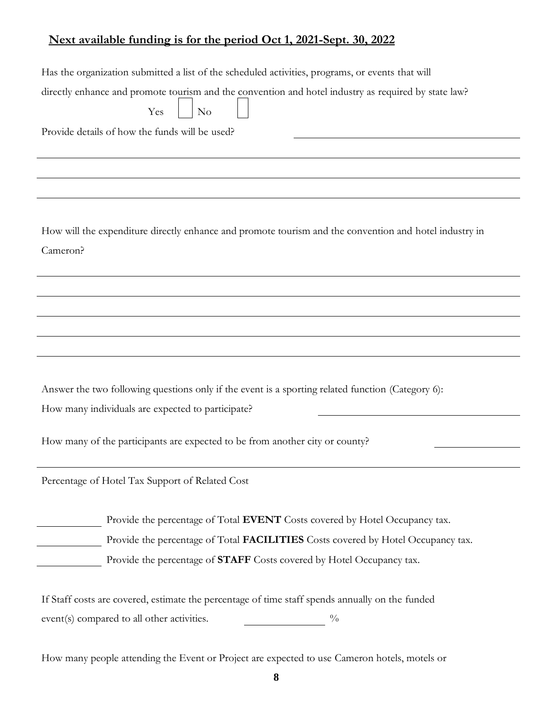## **Next available funding is for the period Oct 1, 2021-Sept. 30, 2022**

| Has the organization submitted a list of the scheduled activities, programs, or events that will<br>directly enhance and promote tourism and the convention and hotel industry as required by state law?<br>Yes<br>N <sub>o</sub><br>Provide details of how the funds will be used? |  |  |  |  |
|-------------------------------------------------------------------------------------------------------------------------------------------------------------------------------------------------------------------------------------------------------------------------------------|--|--|--|--|
|                                                                                                                                                                                                                                                                                     |  |  |  |  |
|                                                                                                                                                                                                                                                                                     |  |  |  |  |
|                                                                                                                                                                                                                                                                                     |  |  |  |  |
| How will the expenditure directly enhance and promote tourism and the convention and hotel industry in<br>Cameron?                                                                                                                                                                  |  |  |  |  |
|                                                                                                                                                                                                                                                                                     |  |  |  |  |
|                                                                                                                                                                                                                                                                                     |  |  |  |  |
|                                                                                                                                                                                                                                                                                     |  |  |  |  |
|                                                                                                                                                                                                                                                                                     |  |  |  |  |
|                                                                                                                                                                                                                                                                                     |  |  |  |  |
| Answer the two following questions only if the event is a sporting related function (Category 6):                                                                                                                                                                                   |  |  |  |  |
| How many individuals are expected to participate?                                                                                                                                                                                                                                   |  |  |  |  |
| How many of the participants are expected to be from another city or county?                                                                                                                                                                                                        |  |  |  |  |
| Percentage of Hotel Tax Support of Related Cost                                                                                                                                                                                                                                     |  |  |  |  |
| Provide the percentage of Total EVENT Costs covered by Hotel Occupancy tax.                                                                                                                                                                                                         |  |  |  |  |
| Provide the percentage of Total FACILITIES Costs covered by Hotel Occupancy tax.                                                                                                                                                                                                    |  |  |  |  |
| Provide the percentage of STAFF Costs covered by Hotel Occupancy tax.                                                                                                                                                                                                               |  |  |  |  |
| If Staff costs are covered, estimate the percentage of time staff spends annually on the funded                                                                                                                                                                                     |  |  |  |  |
| event(s) compared to all other activities.<br>$\frac{0}{0}$                                                                                                                                                                                                                         |  |  |  |  |

How many people attending the Event or Project are expected to use Cameron hotels, motels or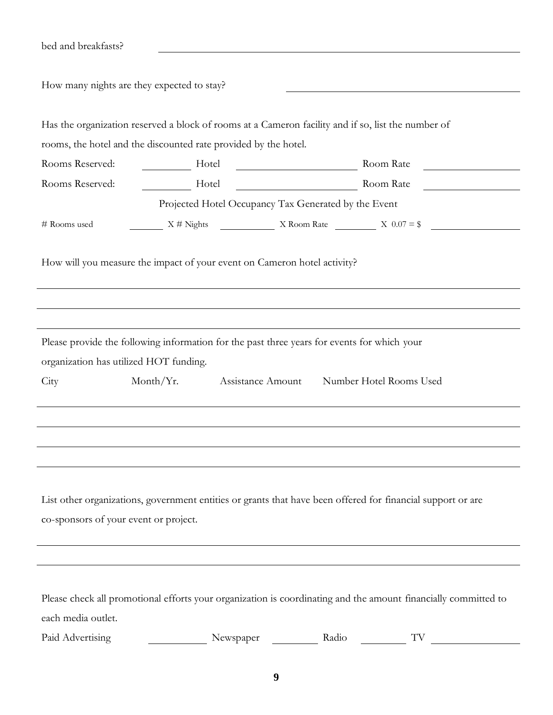| bed and breakfasts?                                                                                                                                                                                            |                                                                                                                             |                 |           |                                                |  |  |  |
|----------------------------------------------------------------------------------------------------------------------------------------------------------------------------------------------------------------|-----------------------------------------------------------------------------------------------------------------------------|-----------------|-----------|------------------------------------------------|--|--|--|
| How many nights are they expected to stay?                                                                                                                                                                     |                                                                                                                             |                 |           |                                                |  |  |  |
|                                                                                                                                                                                                                | Has the organization reserved a block of rooms at a Cameron facility and if so, list the number of                          |                 |           |                                                |  |  |  |
|                                                                                                                                                                                                                | rooms, the hotel and the discounted rate provided by the hotel.                                                             |                 |           |                                                |  |  |  |
| Rooms Reserved:                                                                                                                                                                                                | Hotel <u>International Hotel</u>                                                                                            |                 | Room Rate | <u>and the state of the state of the state</u> |  |  |  |
| Rooms Reserved:                                                                                                                                                                                                |                                                                                                                             | Hotel Room Rate |           |                                                |  |  |  |
| Projected Hotel Occupancy Tax Generated by the Event                                                                                                                                                           |                                                                                                                             |                 |           |                                                |  |  |  |
| # Rooms used                                                                                                                                                                                                   | $X \#$ Nights X Room Rate X 0.07 = \$                                                                                       |                 |           |                                                |  |  |  |
| How will you measure the impact of your event on Cameron hotel activity?                                                                                                                                       |                                                                                                                             |                 |           |                                                |  |  |  |
|                                                                                                                                                                                                                |                                                                                                                             |                 |           |                                                |  |  |  |
| Please provide the following information for the past three years for events for which your<br>organization has utilized HOT funding.<br>Month/ $Yr$ .<br>Assistance Amount<br>Number Hotel Rooms Used<br>City |                                                                                                                             |                 |           |                                                |  |  |  |
|                                                                                                                                                                                                                |                                                                                                                             |                 |           |                                                |  |  |  |
|                                                                                                                                                                                                                |                                                                                                                             |                 |           |                                                |  |  |  |
|                                                                                                                                                                                                                |                                                                                                                             |                 |           |                                                |  |  |  |
| List other organizations, government entities or grants that have been offered for financial support or are<br>co-sponsors of your event or project.                                                           |                                                                                                                             |                 |           |                                                |  |  |  |
|                                                                                                                                                                                                                |                                                                                                                             |                 |           |                                                |  |  |  |
| each media outlet.<br>Paid Advertising                                                                                                                                                                         | Please check all promotional efforts your organization is coordinating and the amount financially committed to<br>Newspaper |                 | Radio     | TV                                             |  |  |  |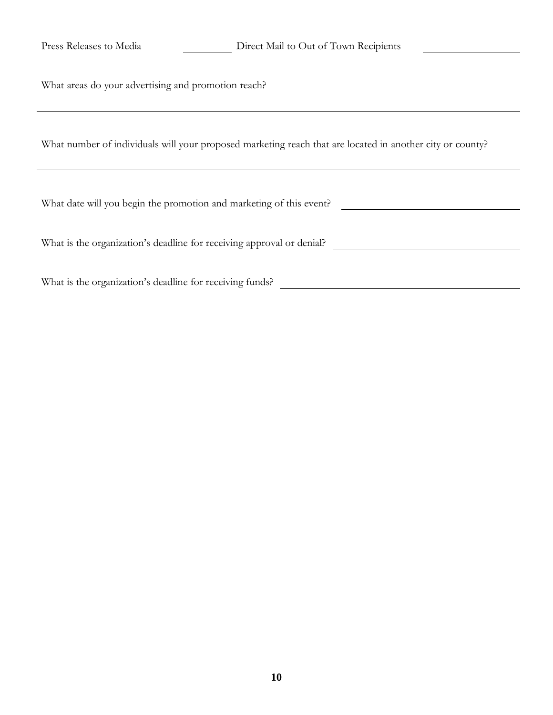| Press Releases to Media                                               | Direct Mail to Out of Town Recipients                                                                     |  |  |  |  |
|-----------------------------------------------------------------------|-----------------------------------------------------------------------------------------------------------|--|--|--|--|
| What areas do your advertising and promotion reach?                   |                                                                                                           |  |  |  |  |
|                                                                       | What number of individuals will your proposed marketing reach that are located in another city or county? |  |  |  |  |
| What date will you begin the promotion and marketing of this event?   |                                                                                                           |  |  |  |  |
| What is the organization's deadline for receiving approval or denial? |                                                                                                           |  |  |  |  |
| What is the organization's deadline for receiving funds?              |                                                                                                           |  |  |  |  |